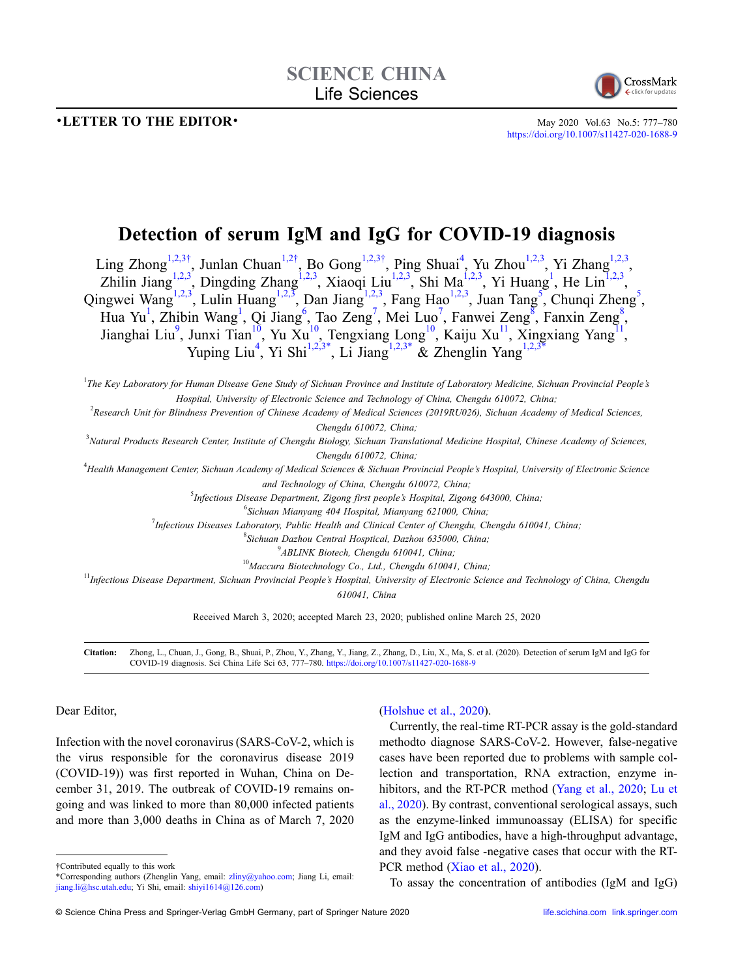## •**LETTER TO THE EDITOR• May 2020** Vol.63 No.5: 777–780



<https://doi.org/10.1007/s11427-020-1688-9>

# **Detection of serum IgM and IgG for COVID-19 diagnosis**

Ling Zhong<sup>[1,](#page-0-0)[2,](#page-0-1)[3](#page-0-2)[†](#page-0-3)</sup>, Junlan Chuan<sup>1,[2](#page-0-1)†</sup>, Bo Gong<sup>1,2,3†</sup>, Ping Shuai<sup>4</sup>, Yu Zhou<sup>1,2,3</sup>, Yi Zhang<sup>1,2,3</sup>, Zhilin Jiang<sup>[1,](#page-0-0)[2,](#page-0-1)[3](#page-0-2)</sup>, Dingding Zhang<sup>[1](#page-0-0),2,3</sup>, Xiaoqi Liu<sup>1,2,3</sup>, Shi Ma<sup>1,2,3</sup>, Yi Huang<sup>1</sup>, He Lin<sup>1,2,3</sup>, Qingwei Wang<sup>[1,](#page-0-0)[2,](#page-0-1)[3](#page-0-2)</sup>, Lulin Huang<sup>1,2,3</sup>, Dan Jiang<sup>1,2,3</sup>, Fang Hao<sup>1,2,3</sup>, Juan Tang<sup>[5](#page-0-5)</sup>, Chunqi Zheng<sup>5</sup>, Hua Yu<sup>[1](#page-0-0)</sup>, Zhibin Wang<sup>1</sup>, Qi Jiang<sup>6</sup>, Tao Zeng<sup>[7](#page-0-7)</sup>, Mei Luo<sup>7</sup>, Fanwei Zeng<sup>[8](#page-0-8)</sup>, Fanxin Zeng<sup>8</sup>, Jianghai Liu<sup>9</sup>, Junxi Tian<sup>10</sup>, Yu Xu<sup>10</sup>, Tengxiang Long<sup>10</sup>, Kaiju Xu<sup>11</sup>, Xingxiang Yang<sup>11</sup>, Yuping Liu<sup>[4](#page-0-4)</sup>, Yi Shi<sup>1,[2,](#page-0-1)[3](#page-0-2)[\\*](#page-0-12)</sup>, Li Jiang<sup>1,2,3\*</sup> & Zhenglin Yang<sup>1,2,3\*</sup>

<span id="page-0-0"></span><sup>1</sup>The Key Laboratory for Human Disease Gene Study of Sichuan Province and Institute of Laboratory Medicine, Sichuan Provincial People's *Hospital, University of Electronic Science and Technology of China, Chengdu 610072, China;*

<span id="page-0-1"></span>2 *Research Unit for Blindness Prevention of Chinese Academy of Medical Sciences (2019RU026), Sichuan Academy of Medical Sciences,*

*Chengdu 610072, China;*

<span id="page-0-2"></span>3 *Natural Products Research Center, Institute of Chengdu Biology, Sichuan Translational Medicine Hospital, Chinese Academy of Sciences, Chengdu 610072, China;*

<span id="page-0-7"></span><span id="page-0-6"></span><span id="page-0-5"></span><span id="page-0-4"></span>4 *Health Management Center, Sichuan Academy of Medical Sciences & Sichuan Provincial People's Hospital, University of Electronic Science*

*and Technology of China, Chengdu 610072, China;*

5 *Infectious Disease Department, Zigong first people's Hospital, Zigong 643000, China;*

6 *Sichuan Mianyang 404 Hospital, Mianyang 621000, China;*

7 *Infectious Diseases Laboratory, Public Health and Clinical Center of Chengdu, Chengdu 610041, China;*

8 *Sichuan Dazhou Central Hosptical, Dazhou 635000, China;*

9 *ABLINK Biotech, Chengdu 610041, China;*

<sup>10</sup>*Maccura Biotechnology Co., Ltd., Chengdu 610041, China;*

<span id="page-0-11"></span><span id="page-0-10"></span><span id="page-0-9"></span><span id="page-0-8"></span><sup>11</sup>*Infectious Disease Department, Sichuan Provincial People's Hospital, University of Electronic Science and Technology of China, Chengdu*

*610041, China*

Received March 3, 2020; accepted March 23, 2020; published online March 25, 2020

**Citation:** Zhong, L., Chuan, J., Gong, B., Shuai, P., Zhou, Y., Zhang, Y., Jiang, Z., Zhang, D., Liu, X., Ma, S. et al. (2020). Detection of serum IgM and IgG for COVID-19 diagnosis. Sci China Life Sci 63, 777–780. <https://doi.org/10.1007/s11427-020-1688-9>

Dear Editor,

Infection with the novel coronavirus (SARS-CoV-2, which is the virus responsible for the coronavirus disease 2019 (COVID-19)) was first reported in Wuhan, China on December 31, 2019. The outbreak of COVID-19 remains ongoing and was linked to more than 80,000 infected patients and more than 3,000 deaths in China as of March 7, 2020

<span id="page-0-3"></span>†Contributed equally to this work

## [\(Holshue et al., 2020\)](#page-2-0).

Currently, the real-time RT-PCR assay is the gold-standard methodto diagnose SARS-CoV-2. However, false-negative cases have been reported due to problems with sample collection and transportation, RNA extraction, enzyme in-hibitors, and the RT-PCR method ([Yang et al., 2020](#page-3-0); [Lu et](#page-2-1) [al., 2020](#page-2-1)). By contrast, conventional serological assays, such as the enzyme-linked immunoassay (ELISA) for specific IgM and IgG antibodies, have a high-throughput advantage, and they avoid false -negative cases that occur with the RT-PCR method [\(Xiao et al., 2020\)](#page-3-1).

To assay the concentration of antibodies (IgM and IgG)

<span id="page-0-12"></span><sup>\*</sup>Corresponding authors (Zhenglin Yang, email: zliny@yahoo.com; Jiang Li, email: jiang.li@hsc.utah.edu; Yi Shi, email: shiyi1614@126.com)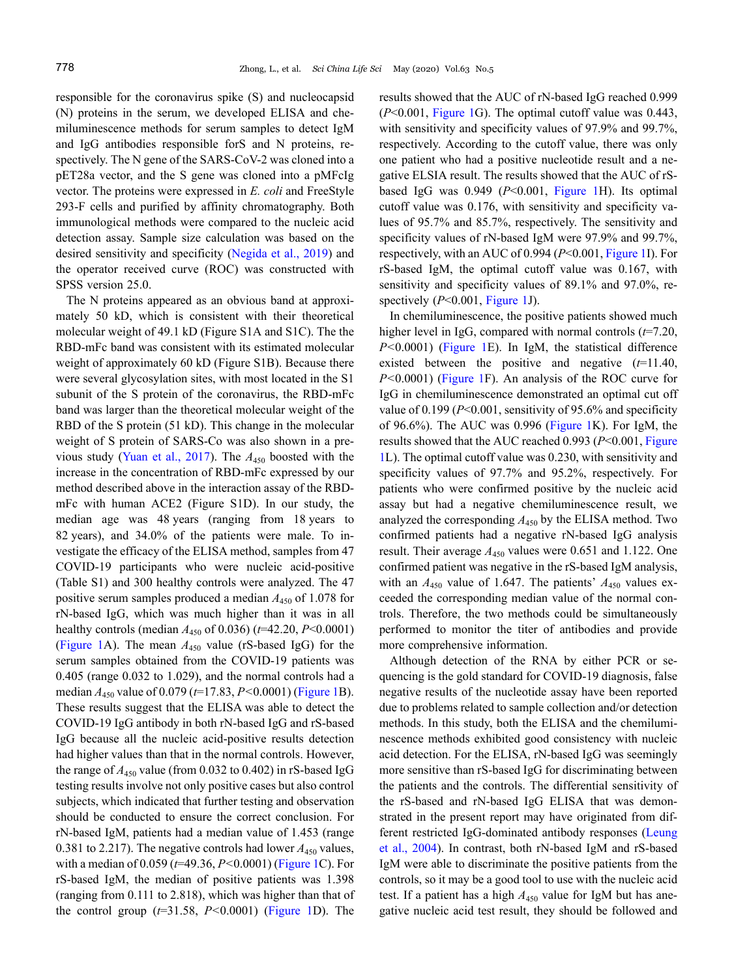responsible for the coronavirus spike (S) and nucleocapsid (N) proteins in the serum, we developed ELISA and chemiluminescence methods for serum samples to detect IgM and IgG antibodies responsible forS and N proteins, respectively. The N gene of the SARS-CoV-2 was cloned into a pET28a vector, and the S gene was cloned into a pMFcIg vector. The proteins were expressed in *E. coli* and FreeStyle 293-F cells and purified by affinity chromatography. Both immunological methods were compared to the nucleic acid detection assay. Sample size calculation was based on the desired sensitivity and specificity [\(Negida et al., 2019](#page-2-2)) and the operator received curve (ROC) was constructed with SPSS version 25.0.

The N proteins appeared as an obvious band at approximately 50 kD, which is consistent with their theoretical molecular weight of 49.1 kD (Figure S1A and S1C). The the RBD-mFc band was consistent with its estimated molecular weight of approximately 60 kD (Figure S1B). Because there were several glycosylation sites, with most located in the S1 subunit of the S protein of the coronavirus, the RBD-mFc band was larger than the theoretical molecular weight of the RBD of the S protein (51 kD). This change in the molecular weight of S protein of SARS-Co was also shown in a previous study [\(Yuan et al., 2017\)](#page-3-2). The *A*<sup>450</sup> boosted with the increase in the concentration of RBD-mFc expressed by our method described above in the interaction assay of the RBDmFc with human ACE2 (Figure S1D). In our study, the median age was 48 years (ranging from 18 years to 82 years), and 34.0% of the patients were male. To investigate the efficacy of the ELISA method, samples from 47 COVID-19 participants who were nucleic acid-positive (Table S1) and 300 healthy controls were analyzed. The 47 positive serum samples produced a median  $A_{450}$  of 1.078 for rN-based IgG, which was much higher than it was in all healthy controls (median  $A_{450}$  of 0.036) ( $t=42.20, P<0.0001$ ) ([Figure 1](#page-2-3)A). The mean  $A_{450}$  value (rS-based IgG) for the serum samples obtained from the COVID-19 patients was 0.405 (range 0.032 to 1.029), and the normal controls had a median *A*<sup>450</sup> value of 0.079 (*t*=17.83, *P<*0.0001) ([Figure 1B](#page-2-3)). These results suggest that the ELISA was able to detect the COVID-19 IgG antibody in both rN-based IgG and rS-based IgG because all the nucleic acid-positive results detection had higher values than that in the normal controls. However, the range of  $A_{450}$  value (from 0.032 to 0.402) in rS-based IgG testing results involve not only positive cases but also control subjects, which indicated that further testing and observation should be conducted to ensure the correct conclusion. For rN-based IgM, patients had a median value of 1.453 (range 0.381 to 2.217). The negative controls had lower  $A_{450}$  values, with a median of 0.059 (*t*=49.36, *P<*0.0001) ([Figure 1C](#page-2-3)). For rS-based IgM, the median of positive patients was 1.398 (ranging from 0.111 to 2.818), which was higher than that of the control group (*t*=31.58, *P<*0.0001) ([Figure 1D](#page-2-3)). The results showed that the AUC of rN-based IgG reached 0.999 (*P*<0.001, [Figure 1](#page-2-3)G). The optimal cutoff value was 0.443, with sensitivity and specificity values of 97.9% and 99.7%, respectively. According to the cutoff value, there was only one patient who had a positive nucleotide result and a negative ELSIA result. The results showed that the AUC of rSbased IgG was 0.949 (*P*<0.001, [Figure 1](#page-2-3)H). Its optimal cutoff value was 0.176, with sensitivity and specificity values of 95.7% and 85.7%, respectively. The sensitivity and specificity values of rN-based IgM were 97.9% and 99.7%, respectively, with an AUC of 0.994 (*P*<0.001, [Figure 1I](#page-2-3)). For rS-based IgM, the optimal cutoff value was 0.167, with sensitivity and specificity values of 89.1% and 97.0%, respectively (*P*<0.001, [Figure 1J](#page-2-3)).

In chemiluminescence, the positive patients showed much higher level in IgG, compared with normal controls (*t*=7.20, *P<*0.0001) ([Figure 1E](#page-2-3)). In IgM, the statistical difference existed between the positive and negative (*t*=11.40, *P<*0.0001) ([Figure 1](#page-2-3)F). An analysis of the ROC curve for IgG in chemiluminescence demonstrated an optimal cut off value of 0.199 (*P*<0.001, sensitivity of 95.6% and specificity of 96.6%). The AUC was 0.996 [\(Figure 1K](#page-2-3)). For IgM, the results showed that the AUC reached 0.993 (*P*<0.001, [Figure](#page-2-3) [1L](#page-2-3)). The optimal cutoff value was 0.230, with sensitivity and specificity values of 97.7% and 95.2%, respectively. For patients who were confirmed positive by the nucleic acid assay but had a negative chemiluminescence result, we analyzed the corresponding *A*<sup>450</sup> by the ELISA method. Two confirmed patients had a negative rN-based IgG analysis result. Their average  $A_{450}$  values were 0.651 and 1.122. One confirmed patient was negative in the rS-based IgM analysis, with an  $A_{450}$  value of 1.647. The patients'  $A_{450}$  values exceeded the corresponding median value of the normal controls. Therefore, the two methods could be simultaneously performed to monitor the titer of antibodies and provide more comprehensive information.

Although detection of the RNA by either PCR or sequencing is the gold standard for COVID-19 diagnosis, false negative results of the nucleotide assay have been reported due to problems related to sample collection and/or detection methods. In this study, both the ELISA and the chemiluminescence methods exhibited good consistency with nucleic acid detection. For the ELISA, rN-based IgG was seemingly more sensitive than rS-based IgG for discriminating between the patients and the controls. The differential sensitivity of the rS-based and rN-based IgG ELISA that was demonstrated in the present report may have originated from different restricted IgG-dominated antibody responses [\(Leung](#page-2-4) [et al., 2004\)](#page-2-4). In contrast, both rN-based IgM and rS-based IgM were able to discriminate the positive patients from the controls, so it may be a good tool to use with the nucleic acid test. If a patient has a high  $A_{450}$  value for IgM but has anegative nucleic acid test result, they should be followed and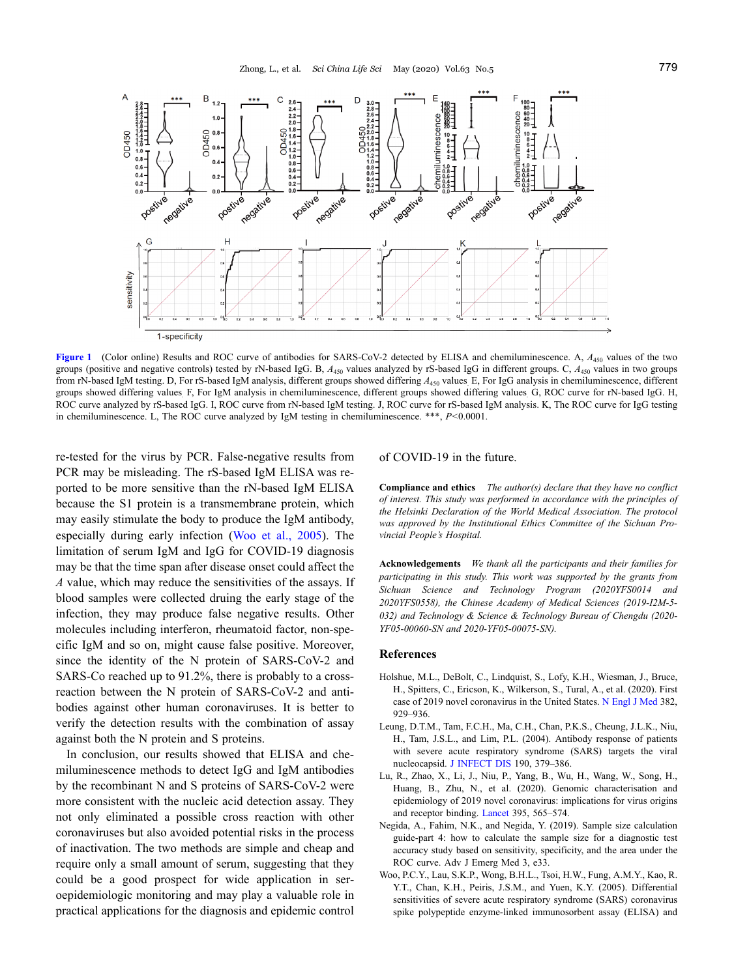

<span id="page-2-3"></span>**[Figure 1](#page-2-3)** (Color online) Results and ROC curve of antibodies for SARS-CoV-2 detected by ELISA and chemiluminescence. A,  $A_{450}$  values of the two groups (positive and negative controls) tested by rN-based IgG. B, *A*<sup>450</sup> values analyzed by rS-based IgG in different groups. C, *A*<sup>450</sup> values in two groups from rN-based IgM testing. D, For rS-based IgM analysis, different groups showed differing  $A_{450}$  values. E, For IgG analysis in chemiluminescence, different groups showed differing values. F, For IgM analysis in chemiluminescence, different groups showed differing values. G, ROC curve for rN-based IgG. H, ROC curve analyzed by rS-based IgG. I, ROC curve from rN-based IgM testing. J, ROC curve for rS-based IgM analysis. K, The ROC curve for IgG testing in chemiluminescence. L, The ROC curve analyzed by IgM testing in chemiluminescence. \*\*\*, *P<*0.0001.

re-tested for the virus by PCR. False-negative results from PCR may be misleading. The rS-based IgM ELISA was reported to be more sensitive than the rN-based IgM ELISA because the S1 protein is a transmembrane protein, which may easily stimulate the body to produce the IgM antibody, especially during early infection [\(Woo et al., 2005](#page-2-5)). The limitation of serum IgM and IgG for COVID-19 diagnosis may be that the time span after disease onset could affect the *A* value, which may reduce the sensitivities of the assays. If blood samples were collected druing the early stage of the infection, they may produce false negative results. Other molecules including interferon, rheumatoid factor, non-specific IgM and so on, might cause false positive. Moreover, since the identity of the N protein of SARS-CoV-2 and SARS-Co reached up to 91.2%, there is probably to a crossreaction between the N protein of SARS-CoV-2 and antibodies against other human coronaviruses. It is better to verify the detection results with the combination of assay against both the N protein and S proteins.

In conclusion, our results showed that ELISA and chemiluminescence methods to detect IgG and IgM antibodies by the recombinant N and S proteins of SARS-CoV-2 were more consistent with the nucleic acid detection assay. They not only eliminated a possible cross reaction with other coronaviruses but also avoided potential risks in the process of inactivation. The two methods are simple and cheap and require only a small amount of serum, suggesting that they could be a good prospect for wide application in seroepidemiologic monitoring and may play a valuable role in practical applications for the diagnosis and epidemic control

### of COVID-19 in the future.

**Compliance and ethics** *The author(s) declare that they have no conflict of interest. This study was performed in accordance with the principles of the Helsinki Declaration of the World Medical Association. The protocol was approved by the Institutional Ethics Committee of the Sichuan Provincial People's Hospital.*

**Acknowledgements** *We thank all the participants and their families for participating in this study. This work was supported by the grants from Sichuan Science and Technology Program (2020YFS0014 and 2020YFS0558), the Chinese Academy of Medical Sciences (2019-I2M-5- 032) and Technology & Science & Technology Bureau of Chengdu (2020- YF05-00060-SN and 2020-YF05-00075-SN).*

#### **References**

- <span id="page-2-0"></span>Holshue, M.L., DeBolt, C., Lindquist, S., Lofy, K.H., Wiesman, J., Bruce, H., Spitters, C., Ericson, K., Wilkerson, S., Tural, A., et al. (2020). First case of 2019 novel coronavirus in the United States. [N Engl J Med](https://doi.org/10.1056/NEJMoa2001191) 382, 929–936.
- <span id="page-2-4"></span>Leung, D.T.M., Tam, F.C.H., Ma, C.H., Chan, P.K.S., Cheung, J.L.K., Niu, H., Tam, J.S.L., and Lim, P.L. (2004). Antibody response of patients with severe acute respiratory syndrome (SARS) targets the viral nucleocapsid. [J INFECT DIS](https://doi.org/10.1086/422040) 190, 379–386.
- <span id="page-2-1"></span>Lu, R., Zhao, X., Li, J., Niu, P., Yang, B., Wu, H., Wang, W., Song, H., Huang, B., Zhu, N., et al. (2020). Genomic characterisation and epidemiology of 2019 novel coronavirus: implications for virus origins and receptor binding. [Lancet](https://doi.org/10.1016/S0140-6736(20)30251-8) 395, 565–574.
- <span id="page-2-2"></span>Negida, A., Fahim, N.K., and Negida, Y. (2019). Sample size calculation guide-part 4: how to calculate the sample size for a diagnostic test accuracy study based on sensitivity, specificity, and the area under the ROC curve. Adv J Emerg Med 3, e33.
- <span id="page-2-5"></span>Woo, P.C.Y., Lau, S.K.P., Wong, B.H.L., Tsoi, H.W., Fung, A.M.Y., Kao, R. Y.T., Chan, K.H., Peiris, J.S.M., and Yuen, K.Y. (2005). Differential sensitivities of severe acute respiratory syndrome (SARS) coronavirus spike polypeptide enzyme-linked immunosorbent assay (ELISA) and